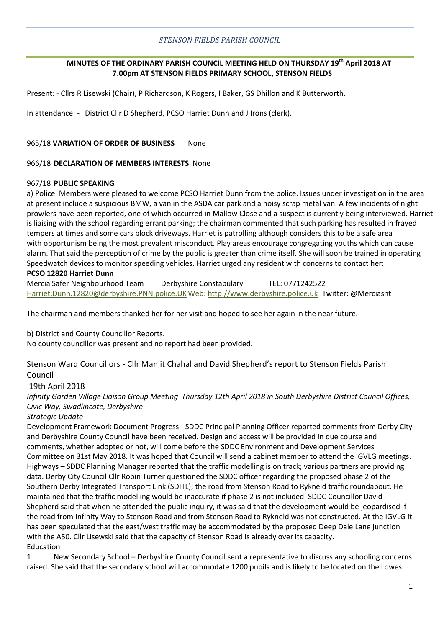# *STENSON FIELDS PARISH COUNCIL*

# **MINUTES OF THE ORDINARY PARISH COUNCIL MEETING HELD ON THURSDAY 19th April 2018 AT 7.00pm AT STENSON FIELDS PRIMARY SCHOOL, STENSON FIELDS**

Present: - Cllrs R Lisewski (Chair), P Richardson, K Rogers, I Baker, GS Dhillon and K Butterworth.

In attendance: - District Cllr D Shepherd, PCSO Harriet Dunn and J Irons (clerk).

### 965/18 **VARIATION OF ORDER OF BUSINESS** None

#### 966/18 **DECLARATION OF MEMBERS INTERESTS** None

### 967/18 **PUBLIC SPEAKING**

a) Police. Members were pleased to welcome PCSO Harriet Dunn from the police. Issues under investigation in the area at present include a suspicious BMW, a van in the ASDA car park and a noisy scrap metal van. A few incidents of night prowlers have been reported, one of which occurred in Mallow Close and a suspect is currently being interviewed. Harriet is liaising with the school regarding errant parking; the chairman commented that such parking has resulted in frayed tempers at times and some cars block driveways. Harriet is patrolling although considers this to be a safe area with opportunism being the most prevalent misconduct. Play areas encourage congregating youths which can cause alarm. That said the perception of crime by the public is greater than crime itself. She will soon be trained in operating Speedwatch devices to monitor speeding vehicles. Harriet urged any resident with concerns to contact her:

# **PCSO 12820 Harriet Dunn**

Mercia Safer Neighbourhood Team Derbyshire Constabulary TEL: 0771242522 [Harriet.Dunn.12820@derbyshire.PNN.police.UKW](javascript:handleMailto()eb[: http://www.derbyshire.police.uk](http://www.derbyshire.police.uk/) Twitter: @Merciasnt

The chairman and members thanked her for her visit and hoped to see her again in the near future.

b) District and County Councillor Reports.

No county councillor was present and no report had been provided.

Stenson Ward Councillors - Cllr Manjit Chahal and David Shepherd's report to Stenson Fields Parish Council

# 19th April 2018

*Infinity Garden Village Liaison Group Meeting Thursday 12th April 2018 in South Derbyshire District Council Offices, Civic Way, Swadlincote, Derbyshire*

#### *Strategic Update*

Development Framework Document Progress - SDDC Principal Planning Officer reported comments from Derby City and Derbyshire County Council have been received. Design and access will be provided in due course and comments, whether adopted or not, will come before the SDDC Environment and Development Services Committee on 31st May 2018. It was hoped that Council will send a cabinet member to attend the IGVLG meetings. Highways – SDDC Planning Manager reported that the traffic modelling is on track; various partners are providing data. Derby City Council Cllr Robin Turner questioned the SDDC officer regarding the proposed phase 2 of the Southern Derby Integrated Transport Link (SDITL); the road from Stenson Road to Rykneld traffic roundabout. He maintained that the traffic modelling would be inaccurate if phase 2 is not included. SDDC Councillor David Shepherd said that when he attended the public inquiry, it was said that the development would be jeopardised if the road from Infinity Way to Stenson Road and from Stenson Road to Rykneld was not constructed. At the IGVLG it has been speculated that the east/west traffic may be accommodated by the proposed Deep Dale Lane junction with the A50. Cllr Lisewski said that the capacity of Stenson Road is already over its capacity. Education

1. New Secondary School – Derbyshire County Council sent a representative to discuss any schooling concerns raised. She said that the secondary school will accommodate 1200 pupils and is likely to be located on the Lowes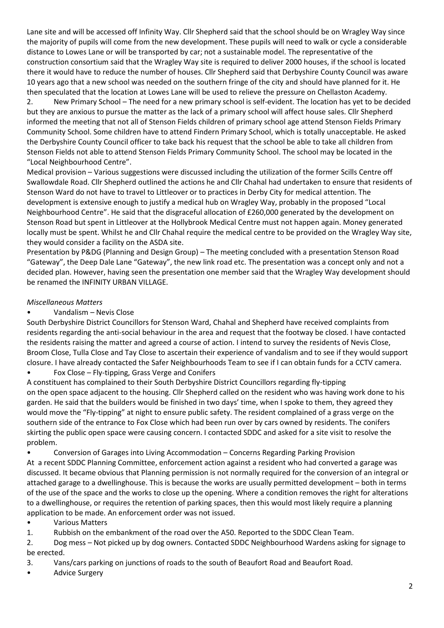Lane site and will be accessed off Infinity Way. Cllr Shepherd said that the school should be on Wragley Way since the majority of pupils will come from the new development. These pupils will need to walk or cycle a considerable distance to Lowes Lane or will be transported by car; not a sustainable model. The representative of the construction consortium said that the Wragley Way site is required to deliver 2000 houses, if the school is located there it would have to reduce the number of houses. Cllr Shepherd said that Derbyshire County Council was aware 10 years ago that a new school was needed on the southern fringe of the city and should have planned for it. He then speculated that the location at Lowes Lane will be used to relieve the pressure on Chellaston Academy.

2. New Primary School – The need for a new primary school is self-evident. The location has yet to be decided but they are anxious to pursue the matter as the lack of a primary school will affect house sales. Cllr Shepherd informed the meeting that not all of Stenson Fields children of primary school age attend Stenson Fields Primary Community School. Some children have to attend Findern Primary School, which is totally unacceptable. He asked the Derbyshire County Council officer to take back his request that the school be able to take all children from Stenson Fields not able to attend Stenson Fields Primary Community School. The school may be located in the "Local Neighbourhood Centre".

Medical provision – Various suggestions were discussed including the utilization of the former Scills Centre off Swallowdale Road. Cllr Shepherd outlined the actions he and Cllr Chahal had undertaken to ensure that residents of Stenson Ward do not have to travel to Littleover or to practices in Derby City for medical attention. The development is extensive enough to justify a medical hub on Wragley Way, probably in the proposed "Local Neighbourhood Centre". He said that the disgraceful allocation of £260,000 generated by the development on Stenson Road but spent in Littleover at the Hollybrook Medical Centre must not happen again. Money generated locally must be spent. Whilst he and Cllr Chahal require the medical centre to be provided on the Wragley Way site, they would consider a facility on the ASDA site.

Presentation by P&DG (Planning and Design Group) – The meeting concluded with a presentation Stenson Road "Gateway", the Deep Dale Lane "Gateway", the new link road etc. The presentation was a concept only and not a decided plan. However, having seen the presentation one member said that the Wragley Way development should be renamed the INFINITY URBAN VILLAGE.

# *Miscellaneous Matters*

# • Vandalism – Nevis Close

South Derbyshire District Councillors for Stenson Ward, Chahal and Shepherd have received complaints from residents regarding the anti-social behaviour in the area and request that the footway be closed. I have contacted the residents raising the matter and agreed a course of action. I intend to survey the residents of Nevis Close, Broom Close, Tulla Close and Tay Close to ascertain their experience of vandalism and to see if they would support closure. I have already contacted the Safer Neighbourhoods Team to see if I can obtain funds for a CCTV camera.

• Fox Close – Fly-tipping, Grass Verge and Conifers

A constituent has complained to their South Derbyshire District Councillors regarding fly-tipping on the open space adjacent to the housing. Cllr Shepherd called on the resident who was having work done to his garden. He said that the builders would be finished in two days' time, when I spoke to them, they agreed they would move the "Fly-tipping" at night to ensure public safety. The resident complained of a grass verge on the southern side of the entrance to Fox Close which had been run over by cars owned by residents. The conifers skirting the public open space were causing concern. I contacted SDDC and asked for a site visit to resolve the problem.

• Conversion of Garages into Living Accommodation – Concerns Regarding Parking Provision At a recent SDDC Planning Committee, enforcement action against a resident who had converted a garage was discussed. It became obvious that Planning permission is not normally required for the conversion of an integral or attached garage to a dwellinghouse. This is because the works are usually permitted development – both in terms of the use of the space and the works to close up the opening. Where a condition removes the right for alterations to a dwellinghouse, or requires the retention of parking spaces, then this would most likely require a planning application to be made. An enforcement order was not issued.

# • Various Matters

1. Rubbish on the embankment of the road over the A50. Reported to the SDDC Clean Team.

2. Dog mess – Not picked up by dog owners. Contacted SDDC Neighbourhood Wardens asking for signage to be erected.

- 3. Vans/cars parking on junctions of roads to the south of Beaufort Road and Beaufort Road.
- Advice Surgery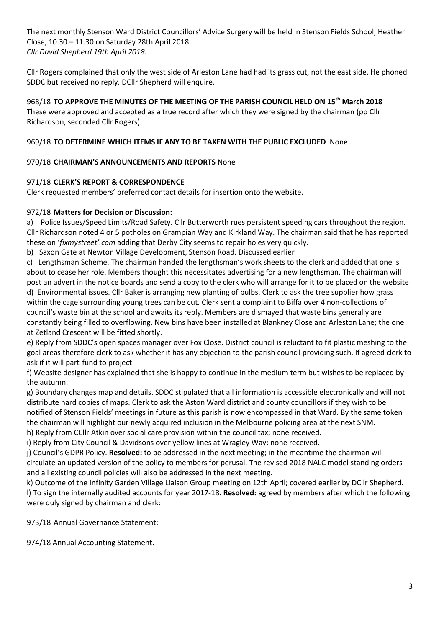The next monthly Stenson Ward District Councillors' Advice Surgery will be held in Stenson Fields School, Heather Close, 10.30 – 11.30 on Saturday 28th April 2018. *Cllr David Shepherd 19th April 2018.*

Cllr Rogers complained that only the west side of Arleston Lane had had its grass cut, not the east side. He phoned SDDC but received no reply. DCllr Shepherd will enquire.

968/18 **TO APPROVE THE MINUTES OF THE MEETING OF THE PARISH COUNCIL HELD ON 15th March 2018** These were approved and accepted as a true record after which they were signed by the chairman (pp Cllr Richardson, seconded Cllr Rogers).

# 969/18 **TO DETERMINE WHICH ITEMS IF ANY TO BE TAKEN WITH THE PUBLIC EXCLUDED** None.

# 970/18 **CHAIRMAN'S ANNOUNCEMENTS AND REPORTS** None

# 971/18 **CLERK'S REPORT & CORRESPONDENCE**

Clerk requested members' preferred contact details for insertion onto the website.

# 972/18 **Matters for Decision or Discussion:**

a) Police Issues/Speed Limits/Road Safety. Cllr Butterworth rues persistent speeding cars throughout the region. Cllr Richardson noted 4 or 5 potholes on Grampian Way and Kirkland Way. The chairman said that he has reported these on '*fixmystreet'.com* adding that Derby City seems to repair holes very quickly.

b) Saxon Gate at Newton Village Development, Stenson Road. Discussed earlier

c) Lengthsman Scheme. The chairman handed the lengthsman's work sheets to the clerk and added that one is about to cease her role. Members thought this necessitates advertising for a new lengthsman. The chairman will post an advert in the notice boards and send a copy to the clerk who will arrange for it to be placed on the website d) Environmental issues. Cllr Baker is arranging new planting of bulbs. Clerk to ask the tree supplier how grass within the cage surrounding young trees can be cut. Clerk sent a complaint to Biffa over 4 non-collections of council's waste bin at the school and awaits its reply. Members are dismayed that waste bins generally are constantly being filled to overflowing. New bins have been installed at Blankney Close and Arleston Lane; the one at Zetland Crescent will be fitted shortly.

e) Reply from SDDC's open spaces manager over Fox Close. District council is reluctant to fit plastic meshing to the goal areas therefore clerk to ask whether it has any objection to the parish council providing such. If agreed clerk to ask if it will part-fund to project.

f) Website designer has explained that she is happy to continue in the medium term but wishes to be replaced by the autumn.

g) Boundary changes map and details. SDDC stipulated that all information is accessible electronically and will not distribute hard copies of maps. Clerk to ask the Aston Ward district and county councillors if they wish to be notified of Stenson Fields' meetings in future as this parish is now encompassed in that Ward. By the same token the chairman will highlight our newly acquired inclusion in the Melbourne policing area at the next SNM.

h) Reply from CCllr Atkin over social care provision within the council tax; none received.

i) Reply from City Council & Davidsons over yellow lines at Wragley Way; none received.

j) Council's GDPR Policy. **Resolved:** to be addressed in the next meeting; in the meantime the chairman will circulate an updated version of the policy to members for perusal. The revised 2018 NALC model standing orders and all existing council policies will also be addressed in the next meeting.

k) Outcome of the Infinity Garden Village Liaison Group meeting on 12th April; covered earlier by DCllr Shepherd. l) To sign the internally audited accounts for year 2017-18. **Resolved:** agreed by members after which the following were duly signed by chairman and clerk:

973/18 Annual Governance Statement;

974/18 Annual Accounting Statement.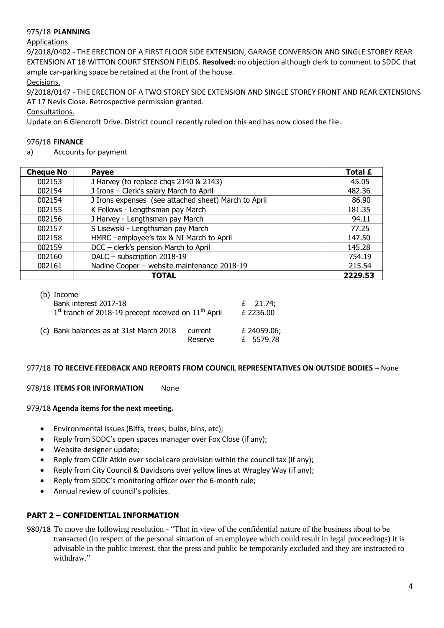# 975/18 **PLANNING**

## Applications

9/2018/0402 - THE ERECTION OF A FIRST FLOOR SIDE EXTENSION, GARAGE CONVERSION AND SINGLE STOREY REAR EXTENSION AT 18 WITTON COURT STENSON FIELDS. **Resolved:** no objection although clerk to comment to SDDC that ample car-parking space be retained at the front of the house.

Decisions.

9/2018/0147 - THE ERECTION OF A TWO STOREY SIDE EXTENSION AND SINGLE STOREY FRONT AND REAR EXTENSIONS AT 17 Nevis Close. Retrospective permission granted.

Consultations.

Update on 6 Glencroft Drive. District council recently ruled on this and has now closed the file.

## 976/18 **FINANCE**

a) Accounts for payment

| <b>Cheque No</b> | Payee                                                | Total £ |
|------------------|------------------------------------------------------|---------|
| 002153           | J Harvey (to replace chgs 2140 & 2143)               | 45.05   |
| 002154           | J Irons - Clerk's salary March to April              | 482.36  |
| 002154           | J Irons expenses (see attached sheet) March to April | 86.90   |
| 002155           | K Fellows - Lengthsman pay March                     | 181.35  |
| 002156           | J Harvey - Lengthsman pay March                      | 94.11   |
| 002157           | S Lisewski - Lengthsman pay March                    | 77.25   |
| 002158           | HMRC -employee's tax & NI March to April             | 147.50  |
| 002159           | DCC - clerk's pension March to April                 | 145.28  |
| 002160           | DALC - subscription 2018-19                          | 754.19  |
| 002161           | Nadine Cooper - website maintenance 2018-19          | 215.54  |
|                  | <b>TOTAL</b>                                         | 2229.53 |

# (b) Income

| Bank interest 2017-18<br>$1st$ tranch of 2018-19 precept received on $11th$ April |                    | $£$ 21.74;<br>£ 2236.00  |
|-----------------------------------------------------------------------------------|--------------------|--------------------------|
| (c) Bank balances as at 31st March 2018                                           | current<br>Reserve | £ 24059.06;<br>£ 5579.78 |

# 977/18 **TO RECEIVE FEEDBACK AND REPORTS FROM COUNCIL REPRESENTATIVES ON OUTSIDE BODIES –** None

#### 978/18 **ITEMS FOR INFORMATION** None

#### 979/18 **Agenda items for the next meeting.**

- Environmental issues (Biffa, trees, bulbs, bins, etc);
- Reply from SDDC's open spaces manager over Fox Close (if any);
- Website designer update;
- Reply from CCllr Atkin over social care provision within the council tax (if any);
- Reply from City Council & Davidsons over yellow lines at Wragley Way (if any);
- Reply from SDDC's monitoring officer over the 6-month rule;
- Annual review of council's policies.

# **PART 2 – CONFIDENTIAL INFORMATION**

980/18 To move the following resolution - "That in view of the confidential nature of the business about to be transacted (in respect of the personal situation of an employee which could result in legal proceedings) it is advisable in the public interest, that the press and public be temporarily excluded and they are instructed to withdraw."